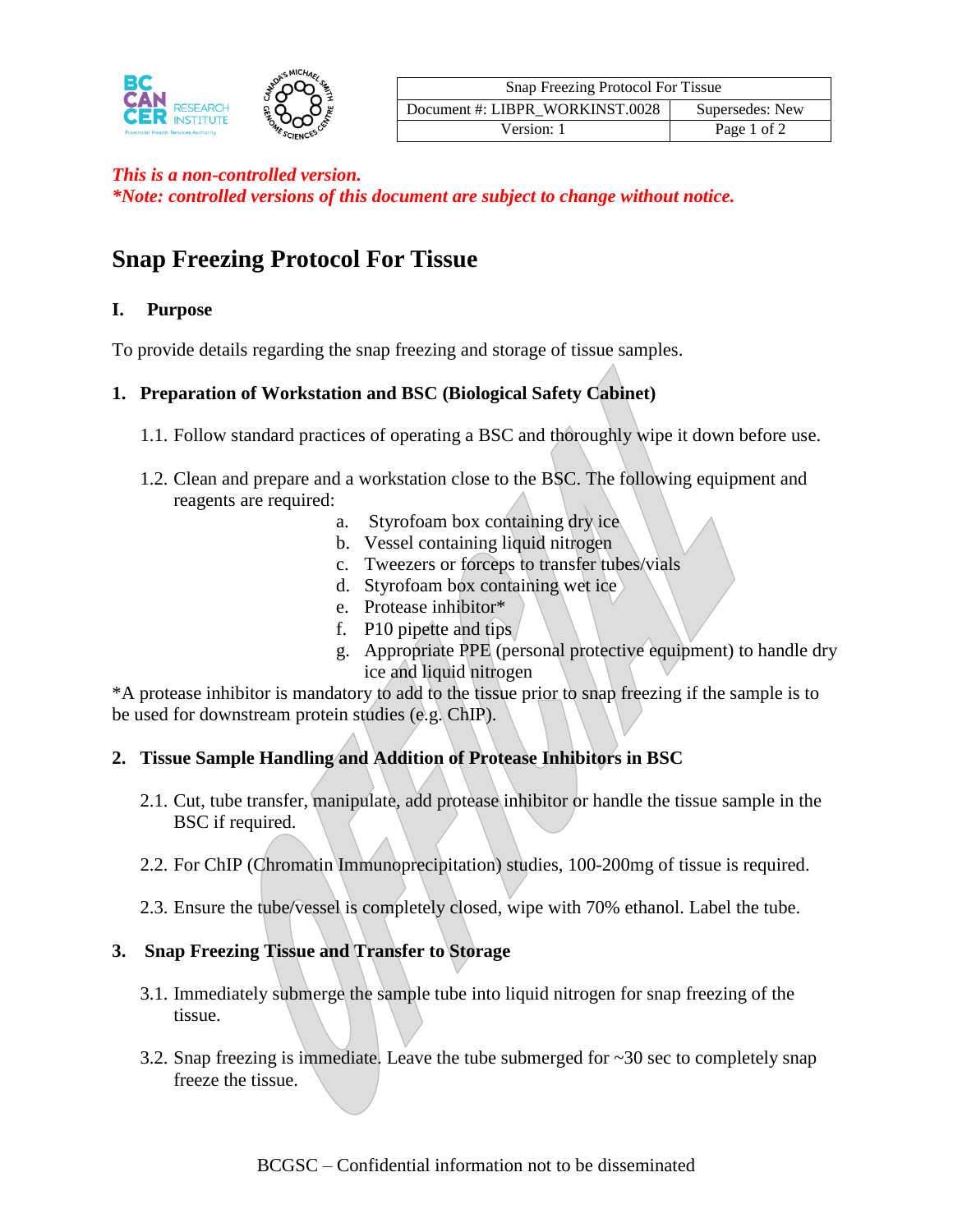

| Snap Freezing Protocol For Tissue |                 |
|-----------------------------------|-----------------|
| Document #: LIBPR WORKINST.0028   | Supersedes: New |
| Version: 1                        | Page 1 of 2     |

## *This is a non-controlled version.*

*\*Note: controlled versions of this document are subject to change without notice.*

# **Snap Freezing Protocol For Tissue**

## **I. Purpose**

To provide details regarding the snap freezing and storage of tissue samples.

## **1. Preparation of Workstation and BSC (Biological Safety Cabinet)**

- 1.1. Follow standard practices of operating a BSC and thoroughly wipe it down before use.
- 1.2. Clean and prepare and a workstation close to the BSC. The following equipment and reagents are required:
	- a. Styrofoam box containing dry ice
	- b. Vessel containing liquid nitrogen
	- c. Tweezers or forceps to transfer tubes/vials
	- d. Styrofoam box containing wet ice
	- e. Protease inhibitor\*
	- f. P10 pipette and tips
	- g. Appropriate PPE (personal protective equipment) to handle dry ice and liquid nitrogen

\*A protease inhibitor is mandatory to add to the tissue prior to snap freezing if the sample is to be used for downstream protein studies (e.g. ChIP).

## **2. Tissue Sample Handling and Addition of Protease Inhibitors in BSC**

- 2.1. Cut, tube transfer, manipulate, add protease inhibitor or handle the tissue sample in the BSC if required.
- 2.2. For ChIP (Chromatin Immunoprecipitation) studies, 100-200mg of tissue is required.
- 2.3. Ensure the tube/vessel is completely closed, wipe with 70% ethanol. Label the tube.

## **3. Snap Freezing Tissue and Transfer to Storage**

- 3.1. Immediately submerge the sample tube into liquid nitrogen for snap freezing of the tissue.
- 3.2. Snap freezing is immediate. Leave the tube submerged for  $\sim$ 30 sec to completely snap freeze the tissue.